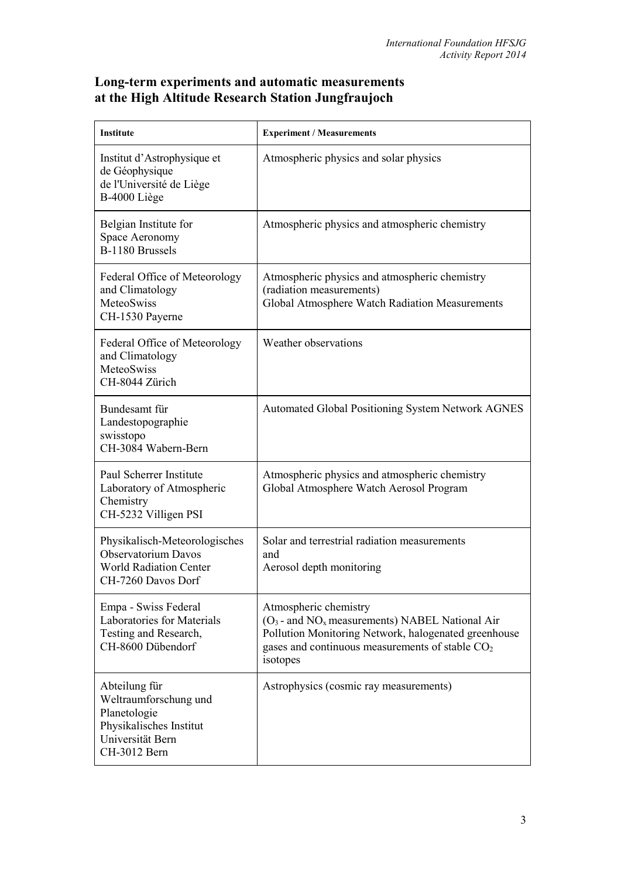## **Long-term experiments and automatic measurements at the High Altitude Research Station Jungfraujoch**

| Institute                                                                                                             | <b>Experiment / Measurements</b>                                                                                                                                                                                |
|-----------------------------------------------------------------------------------------------------------------------|-----------------------------------------------------------------------------------------------------------------------------------------------------------------------------------------------------------------|
| Institut d'Astrophysique et<br>de Géophysique<br>de l'Université de Liège<br>B-4000 Liège                             | Atmospheric physics and solar physics                                                                                                                                                                           |
| Belgian Institute for<br>Space Aeronomy<br>B-1180 Brussels                                                            | Atmospheric physics and atmospheric chemistry                                                                                                                                                                   |
| Federal Office of Meteorology<br>and Climatology<br>MeteoSwiss<br>CH-1530 Payerne                                     | Atmospheric physics and atmospheric chemistry<br>(radiation measurements)<br>Global Atmosphere Watch Radiation Measurements                                                                                     |
| Federal Office of Meteorology<br>and Climatology<br><b>MeteoSwiss</b><br>CH-8044 Zürich                               | Weather observations                                                                                                                                                                                            |
| Bundesamt für<br>Landestopographie<br>swisstopo<br>CH-3084 Wabern-Bern                                                | <b>Automated Global Positioning System Network AGNES</b>                                                                                                                                                        |
| Paul Scherrer Institute<br>Laboratory of Atmospheric<br>Chemistry<br>CH-5232 Villigen PSI                             | Atmospheric physics and atmospheric chemistry<br>Global Atmosphere Watch Aerosol Program                                                                                                                        |
| Physikalisch-Meteorologisches<br><b>Observatorium Davos</b><br><b>World Radiation Center</b><br>CH-7260 Davos Dorf    | Solar and terrestrial radiation measurements<br>and<br>Aerosol depth monitoring                                                                                                                                 |
| Empa - Swiss Federal<br>Laboratories for Materials<br>Testing and Research,<br>CH-8600 Dübendorf                      | Atmospheric chemistry<br>$(O_3$ - and NO <sub>x</sub> measurements) NABEL National Air<br>Pollution Monitoring Network, halogenated greenhouse<br>gases and continuous measurements of stable $CO2$<br>isotopes |
| Abteilung für<br>Weltraumforschung und<br>Planetologie<br>Physikalisches Institut<br>Universität Bern<br>CH-3012 Bern | Astrophysics (cosmic ray measurements)                                                                                                                                                                          |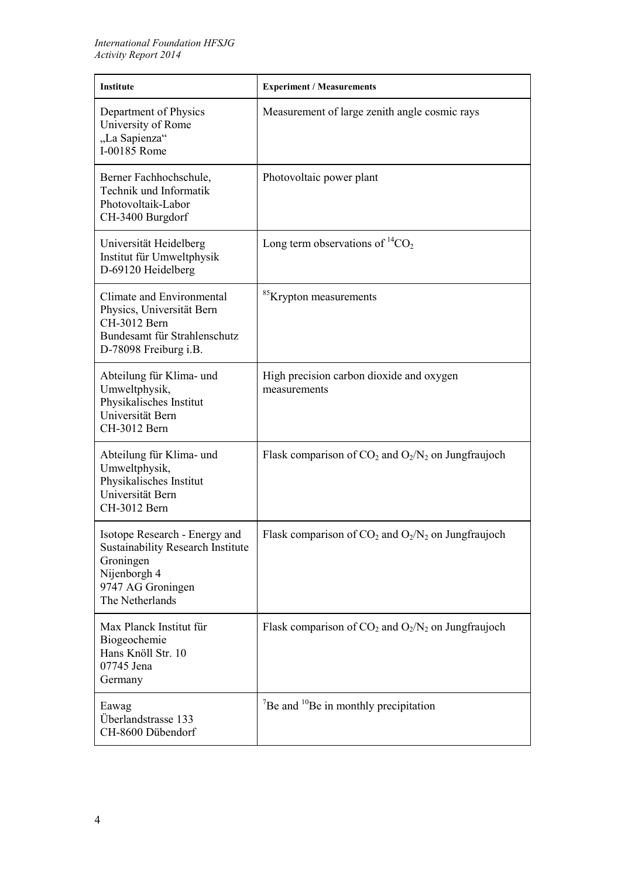| <b>Institute</b>                                                                                                                               | <b>Experiment / Measurements</b>                                  |
|------------------------------------------------------------------------------------------------------------------------------------------------|-------------------------------------------------------------------|
| Department of Physics<br>University of Rome<br>"La Sapienza"<br>I-00185 Rome                                                                   | Measurement of large zenith angle cosmic rays                     |
| Berner Fachhochschule,<br>Technik und Informatik<br>Photovoltaik-Labor<br>CH-3400 Burgdorf                                                     | Photovoltaic power plant                                          |
| Universität Heidelberg<br>Institut für Umweltphysik<br>D-69120 Heidelberg                                                                      | Long term observations of ${}^{14}CO_2$                           |
| Climate and Environmental<br>Physics, Universität Bern<br>CH-3012 Bern<br>Bundesamt für Strahlenschutz<br>D-78098 Freiburg i.B.                | <sup>85</sup> Krypton measurements                                |
| Abteilung für Klima- und<br>Umweltphysik,<br>Physikalisches Institut<br>Universität Bern<br>CH-3012 Bern                                       | High precision carbon dioxide and oxygen<br>measurements          |
| Abteilung für Klima- und<br>Umweltphysik,<br>Physikalisches Institut<br>Universität Bern<br>CH-3012 Bern                                       | Flask comparison of $CO_2$ and $O_2/N_2$ on Jungfraujoch          |
| Isotope Research - Energy and<br><b>Sustainability Research Institute</b><br>Groningen<br>Nijenborgh 4<br>9747 AG Groningen<br>The Netherlands | Flask comparison of $CO_2$ and $O_2/N_2$ on Jungfraujoch          |
| Max Planck Institut für<br>Biogeochemie<br>Hans Knöll Str. 10<br>07745 Jena<br>Germany                                                         | Flask comparison of $CO_2$ and $O_2/N_2$ on Jungfraujoch          |
| Eawag<br>Überlandstrasse 133<br>CH-8600 Dübendorf                                                                                              | $\mathrm{^{7}Be}$ and $\mathrm{^{10}Be}$ in monthly precipitation |